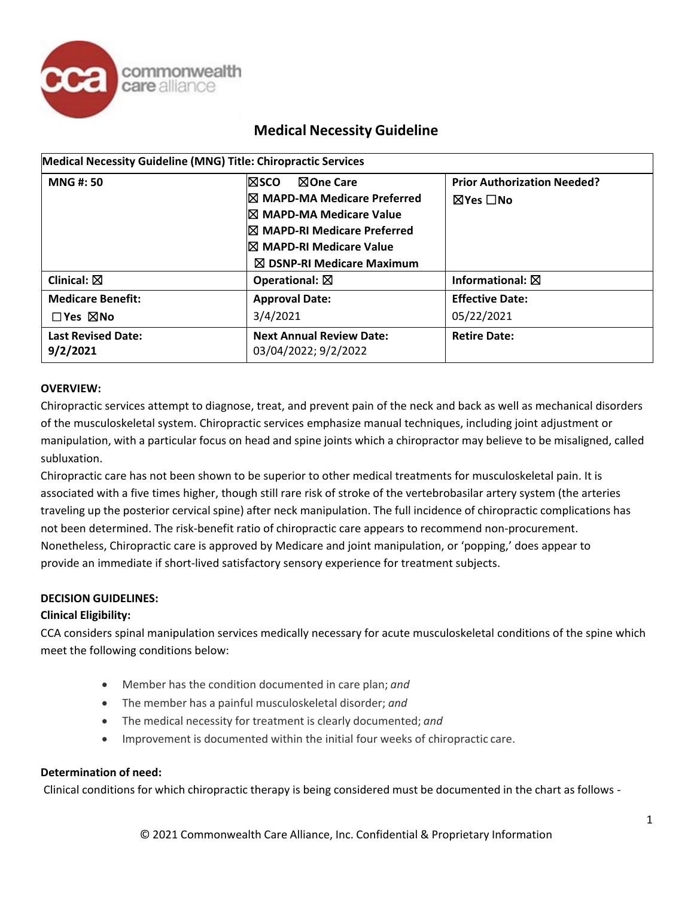

| Medical Necessity Guideline (MNG) Title: Chiropractic Services |                                                                                                                                                                             |                                                |  |  |
|----------------------------------------------------------------|-----------------------------------------------------------------------------------------------------------------------------------------------------------------------------|------------------------------------------------|--|--|
| <b>MNG#:50</b>                                                 | l⊠sco<br>$\boxtimes$ One Care<br><b>⊠ MAPD-MA Medicare Preferred</b><br><b>⊠ MAPD-MA Medicare Value</b><br><b>⊠ MAPD-RI Medicare Preferred</b><br>I⊠ MAPD-RI Medicare Value | <b>Prior Authorization Needed?</b><br>⊠Yes □No |  |  |
|                                                                | $\boxtimes$ DSNP-RI Medicare Maximum                                                                                                                                        |                                                |  |  |
| Clinical: $\boxtimes$                                          | Operational: $\boxtimes$                                                                                                                                                    | Informational: $\boxtimes$                     |  |  |
| <b>Medicare Benefit:</b>                                       | <b>Approval Date:</b>                                                                                                                                                       | <b>Effective Date:</b>                         |  |  |
| $\square$ Yes $\square$ No                                     | 3/4/2021                                                                                                                                                                    | 05/22/2021                                     |  |  |
| <b>Last Revised Date:</b><br>9/2/2021                          | <b>Next Annual Review Date:</b><br>03/04/2022; 9/2/2022                                                                                                                     | <b>Retire Date:</b>                            |  |  |

### **OVERVIEW:**

Chiropractic services attempt to diagnose, treat, and prevent pain of the neck and back as well as mechanical disorders of the musculoskeletal system. Chiropractic services emphasize manual techniques, including joint adjustment or manipulation, with a particular focus on head and spine joints which a chiropractor may believe to be misaligned, called subluxation.

Chiropractic care has not been shown to be superior to other medical treatments for musculoskeletal pain. It is associated with a five times higher, though still rare risk of stroke of the vertebrobasilar artery system (the arteries traveling up the posterior cervical spine) after neck manipulation. The full incidence of chiropractic complications has not been determined. The risk-benefit ratio of chiropractic care appears to recommend non-procurement. Nonetheless, Chiropractic care is approved by Medicare and joint manipulation, or 'popping,' does appear to provide an immediate if short-lived satisfactory sensory experience for treatment subjects.

## **DECISION GUIDELINES:**

### **Clinical Eligibility:**

CCA considers spinal manipulation services medically necessary for acute musculoskeletal conditions of the spine which meet the following conditions below:

- Member has the condition documented in care plan; *and*
- The member has a painful musculoskeletal disorder; *and*
- The medical necessity for treatment is clearly documented; *and*
- Improvement is documented within the initial four weeks of chiropractic care.

### **Determination of need:**

Clinical conditions for which chiropractic therapy is being considered must be documented in the chart as follows -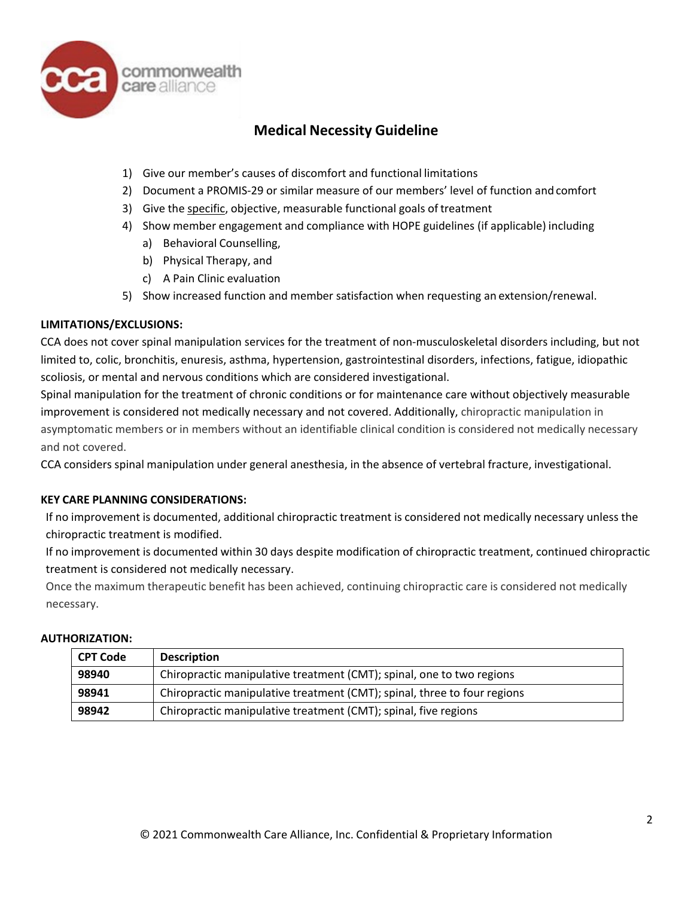

- 1) Give our member's causes of discomfort and functional limitations
- 2) Document a PROMIS-29 or similar measure of our members' level of function and comfort
- 3) Give the specific, objective, measurable functional goals of treatment
- 4) Show member engagement and compliance with HOPE guidelines (if applicable) including
	- a) Behavioral Counselling,
	- b) Physical Therapy, and
	- c) A Pain Clinic evaluation
- 5) Show increased function and member satisfaction when requesting an extension/renewal.

### **LIMITATIONS/EXCLUSIONS:**

CCA does not cover spinal manipulation services for the treatment of non-musculoskeletal disorders including, but not limited to, colic, bronchitis, enuresis, asthma, hypertension, gastrointestinal disorders, infections, fatigue, idiopathic scoliosis, or mental and nervous conditions which are considered investigational.

Spinal manipulation for the treatment of chronic conditions or for maintenance care without objectively measurable improvement is considered not medically necessary and not covered. Additionally, chiropractic manipulation in asymptomatic members or in members without an identifiable clinical condition is considered not medically necessary and not covered.

CCA considers spinal manipulation under general anesthesia, in the absence of vertebral fracture, investigational.

### **KEY CARE PLANNING CONSIDERATIONS:**

If no improvement is documented, additional chiropractic treatment is considered not medically necessary unless the chiropractic treatment is modified.

If no improvement is documented within 30 days despite modification of chiropractic treatment, continued chiropractic treatment is considered not medically necessary.

Once the maximum therapeutic benefit has been achieved, continuing chiropractic care is considered not medically necessary.

### **AUTHORIZATION:**

| <b>CPT Code</b> | <b>Description</b>                                                       |
|-----------------|--------------------------------------------------------------------------|
| 98940           | Chiropractic manipulative treatment (CMT); spinal, one to two regions    |
| 98941           | Chiropractic manipulative treatment (CMT); spinal, three to four regions |
| 98942           | Chiropractic manipulative treatment (CMT); spinal, five regions          |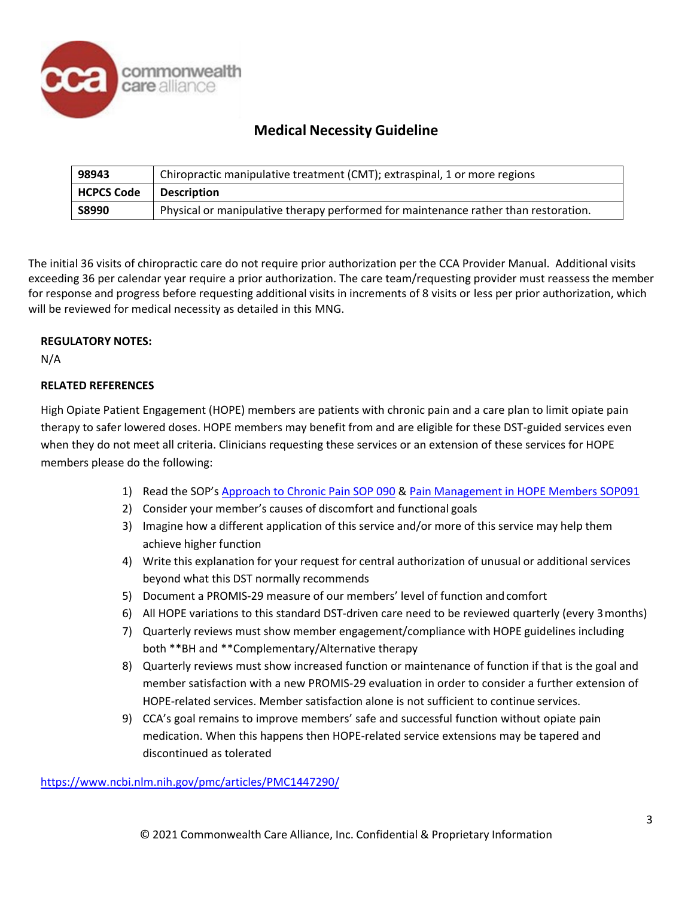

| 98943             | Chiropractic manipulative treatment (CMT); extraspinal, 1 or more regions           |
|-------------------|-------------------------------------------------------------------------------------|
| <b>HCPCS Code</b> | <b>Description</b>                                                                  |
| <b>S8990</b>      | Physical or manipulative therapy performed for maintenance rather than restoration. |

The initial 36 visits of chiropractic care do not require prior authorization per the CCA Provider Manual. Additional visits exceeding 36 per calendar year require a prior authorization. The care team/requesting provider must reassess the member for response and progress before requesting additional visits in increments of 8 visits or less per prior authorization, which will be reviewed for medical necessity as detailed in this MNG.

### **REGULATORY NOTES:**

N/A

## **RELATED REFERENCES**

High Opiate Patient Engagement (HOPE) members are patients with chronic pain and a care plan to limit opiate pain therapy to safer lowered doses. HOPE members may benefit from and are eligible for these DST-guided services even when they do not meet all criteria. Clinicians requesting these services or an extension of these services for HOPE members please do the following:

- 1) Read the SOP's Approach [to Chronic](http://commonground.commonwealthcare.org/resources/ccakh/Shared%20Documents/Standards%20of%20Practice%20(SOPs)/Approach%20to%20Chronic%20Pain%20SOP%20090.pdf) Pain SOP 090 & [Pain Management](http://commonground.commonwealthcare.org/resources/ccakh/Shared%20Documents/Standards%20of%20Practice%20(SOPs)/Behavioral%20Health%20Pain%20Management%20in%20HOPE%20(High%20Opioid%20Patient%20Engagement)%20Members%20SOP%20091.pdf) in HOPE Members SOP091
- 2) Consider your member's causes of discomfort and functional goals
- 3) Imagine how a different application of this service and/or more of this service may help them achieve higher function
- 4) Write this explanation for your request for central authorization of unusual or additional services beyond what this DST normally recommends
- 5) Document a PROMIS-29 measure of our members' level of function and comfort
- 6) All HOPE variations to this standard DST-driven care need to be reviewed quarterly (every 3months)
- 7) Quarterly reviews must show member engagement/compliance with HOPE guidelines including both \*\*BH and \*\*Complementary/Alternative therapy
- 8) Quarterly reviews must show increased function or maintenance of function if that is the goal and member satisfaction with a new PROMIS-29 evaluation in order to consider a further extension of HOPE-related services. Member satisfaction alone is not sufficient to continue services.
- 9) CCA's goal remains to improve members' safe and successful function without opiate pain medication. When this happens then HOPE-related service extensions may be tapered and discontinued as tolerated

<https://www.ncbi.nlm.nih.gov/pmc/articles/PMC1447290/>